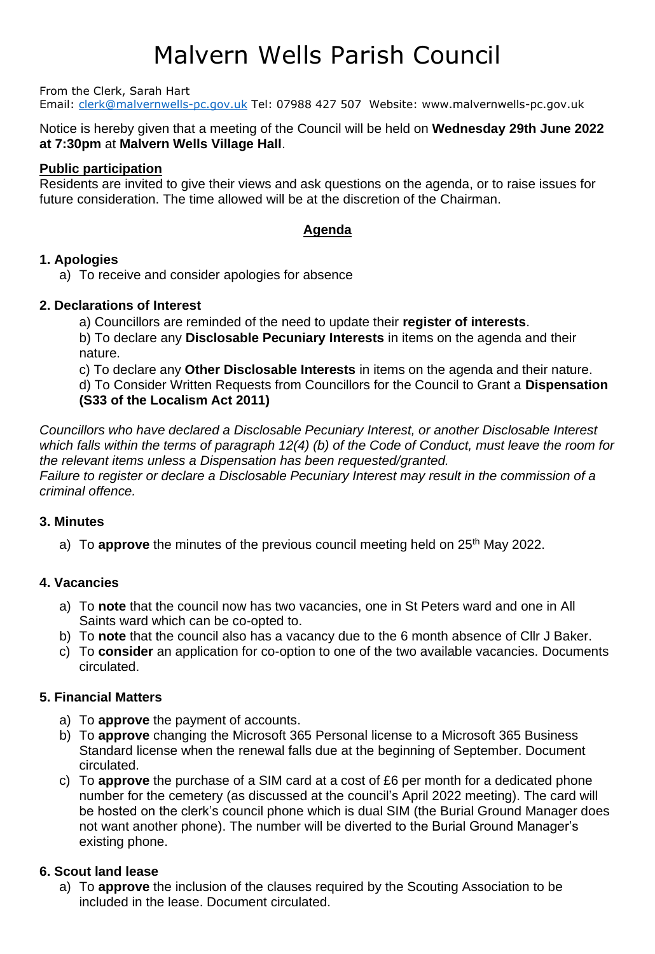# Malvern Wells Parish Council

From the Clerk, Sarah Hart

Email: [clerk@malvernwells-pc.gov.uk](mailto:clerk@malvernwells-pc.gov.uk) Tel: 07988 427 507 Website: www.malvernwells-pc.gov.uk

Notice is hereby given that a meeting of the Council will be held on **Wednesday 29th June 2022 at 7:30pm** at **Malvern Wells Village Hall**.

## **Public participation**

Residents are invited to give their views and ask questions on the agenda, or to raise issues for future consideration. The time allowed will be at the discretion of the Chairman.

# **Agenda**

## **1. Apologies**

a) To receive and consider apologies for absence

## **2. Declarations of Interest**

a) Councillors are reminded of the need to update their **register of interests**. b) To declare any **Disclosable Pecuniary Interests** in items on the agenda and their nature.

c) To declare any **Other Disclosable Interests** in items on the agenda and their nature. d) To Consider Written Requests from Councillors for the Council to Grant a **Dispensation (S33 of the Localism Act 2011)**

*Councillors who have declared a Disclosable Pecuniary Interest, or another Disclosable Interest which falls within the terms of paragraph 12(4) (b) of the Code of Conduct, must leave the room for the relevant items unless a Dispensation has been requested/granted. Failure to register or declare a Disclosable Pecuniary Interest may result in the commission of a criminal offence.* 

# **3. Minutes**

a) To **approve** the minutes of the previous council meeting held on 25<sup>th</sup> May 2022.

# **4. Vacancies**

- a) To **note** that the council now has two vacancies, one in St Peters ward and one in All Saints ward which can be co-opted to.
- b) To **note** that the council also has a vacancy due to the 6 month absence of Cllr J Baker.
- c) To **consider** an application for co-option to one of the two available vacancies. Documents circulated.

# **5. Financial Matters**

- a) To **approve** the payment of accounts.
- b) To **approve** changing the Microsoft 365 Personal license to a Microsoft 365 Business Standard license when the renewal falls due at the beginning of September. Document circulated.
- c) To **approve** the purchase of a SIM card at a cost of £6 per month for a dedicated phone number for the cemetery (as discussed at the council's April 2022 meeting). The card will be hosted on the clerk's council phone which is dual SIM (the Burial Ground Manager does not want another phone). The number will be diverted to the Burial Ground Manager's existing phone.

# **6. Scout land lease**

a) To **approve** the inclusion of the clauses required by the Scouting Association to be included in the lease. Document circulated.